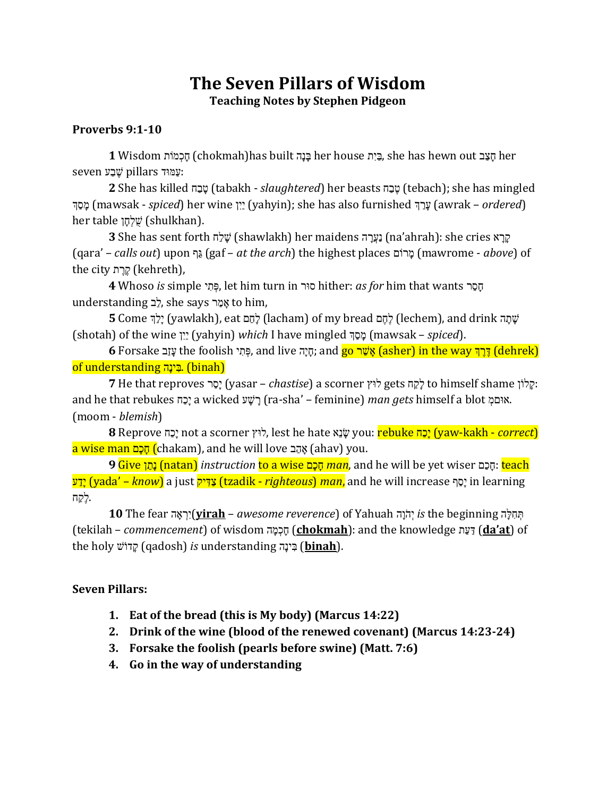# **The Seven Pillars of Wisdom Teaching Notes by Stephen Pidgeon**

#### **Proverbs 9:1-10**

her house הַצֵּב her house בֵּיָת she has hewn out הוא האָב her house הוא העבו her :דִ ּמַע pillars עַ חִ ש seven

**2** She has killed סָבָה (tabakh - *slaughtered*) her beasts עֲבָה (tebach); she has mingled <u>מְסַךְּ</u> (mawsak - *spiced*) her wine יֵיִן (yahyin); she has also furnished עֲרַךְ (awrak – *ordered*) her table שֶׁלְחָן (shulkhan).

הָרָא na'ahrah): she cries נַעֲרָה (shawlakh) her maidens נַעֲרָה (na'ahrah): she cries בַּ (qara' – *calls out*) upon גִף) gaf – *at the arch*) the highest places מָר וֹכ) mawrome - *above*) of the city קֵרֵת (kehreth),

**4** Whoso *is* simple י ַּח ְי, let him turn in רַס hither: *as for* him that wants ר ָס וֹת understanding לֵב, she says אֲמֵר to him,

עֹו חֹו ב drink and ,)lechem (חַתַ מ bread my of) lacham (חֹותִ מ eat ,)yawlakh (יֹוחִמ Come **5** (shotah) of the wine י ַּיִי) yahyin) *which* I have mingled מ ִס וֹכ) mawsak – *spiced*).

הָיָה (dehrek) **(הֵיה עֵ the foolish פִּחִי, and live פִּח**ָה; and <mark>go אֲשֶׁר (asher) in the way דָּרֵךְ (dehrek)</mark> of understanding .בְּינַה, (binah)

 :אֹו חלָ י shame himself to חֹואִ ת gets חַל scorner a) *chastise* – yasar (יֹוסִ ר reproves that He **7** and he that rebukes תִומֹי a wicked ש וֹע וֹר) ra-sha' – feminine) *man gets* himself a blot מְמכַק. (moom - *blemish*)

 (*correct* - kakh-yaw (יֹומִת rebuke :you אֹו נָק hate he lest ,חַל scorner a not יֹומִת Reprove **8** <mark>a wise man הָכָם (</mark>chakam), and he will love הָב (ahav) you.

**9** Give י ִוחֹנ) natan) *instruction* to a wise ומֹמ וֹת *man*, and he will be yet wiser מִמ וֹת: teach ש ִועֹי) yada' – *know*) a just יא ַּךְ ִצ) tzadik - *righteous*) *man*, and he will increase ג ִוסֹי in learning .חַאִ ת

הָהָלֶה is the beginning יְהֹוָה (**yirah** – *awesome reverence*) of Yahuah יְהֹוָה is the beginning (tekilah – *commencement*) of wisdom ב וֹכ ְמ וֹת) **chokmah**): and the knowledge ח ִד ִךְ) **da'at**) of the holy *קיוֹש (qadosh) is understanding בְּינָה* (binah).

#### **Seven Pillars:**

- **1. Eat of the bread (this is My body) (Marcus 14:22)**
- **2. Drink of the wine (blood of the renewed covenant) (Marcus 14:23-24)**
- **3. Forsake the foolish (pearls before swine) (Matt. 7:6)**
- **4. Go in the way of understanding**